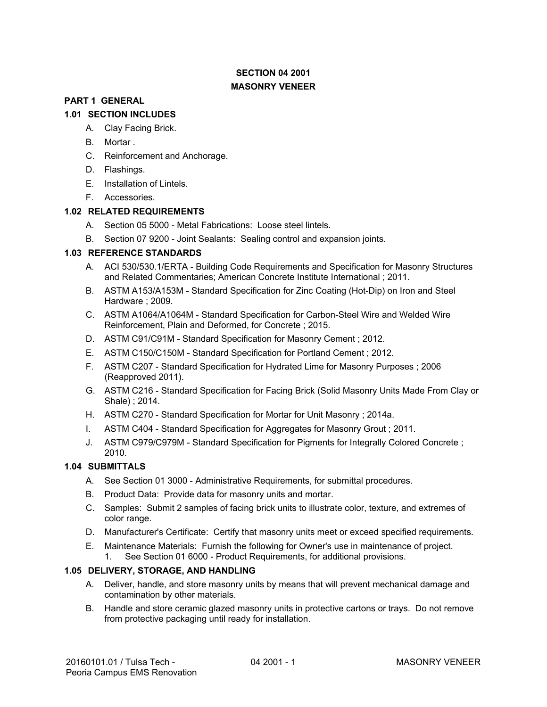# **SECTION 04 2001 MASONRY VENEER**

## **PART 1 GENERAL**

## **1.01 SECTION INCLUDES**

- A. Clay Facing Brick.
- B. Mortar .
- C. Reinforcement and Anchorage.
- D. Flashings.
- E. Installation of Lintels.
- F. Accessories.

## **1.02 RELATED REQUIREMENTS**

- A. Section 05 5000 Metal Fabrications: Loose steel lintels.
- B. Section 07 9200 Joint Sealants: Sealing control and expansion joints.

## **1.03 REFERENCE STANDARDS**

- A. ACI 530/530.1/ERTA Building Code Requirements and Specification for Masonry Structures and Related Commentaries; American Concrete Institute International ; 2011.
- B. ASTM A153/A153M Standard Specification for Zinc Coating (Hot-Dip) on Iron and Steel Hardware ; 2009.
- C. ASTM A1064/A1064M Standard Specification for Carbon-Steel Wire and Welded Wire Reinforcement, Plain and Deformed, for Concrete ; 2015.
- D. ASTM C91/C91M Standard Specification for Masonry Cement ; 2012.
- E. ASTM C150/C150M Standard Specification for Portland Cement ; 2012.
- F. ASTM C207 Standard Specification for Hydrated Lime for Masonry Purposes ; 2006 (Reapproved 2011).
- G. ASTM C216 Standard Specification for Facing Brick (Solid Masonry Units Made From Clay or Shale) ; 2014.
- H. ASTM C270 Standard Specification for Mortar for Unit Masonry ; 2014a.
- I. ASTM C404 Standard Specification for Aggregates for Masonry Grout ; 2011.
- J. ASTM C979/C979M Standard Specification for Pigments for Integrally Colored Concrete ; 2010.

# **1.04 SUBMITTALS**

- A. See Section 01 3000 Administrative Requirements, for submittal procedures.
- B. Product Data: Provide data for masonry units and mortar.
- C. Samples: Submit 2 samples of facing brick units to illustrate color, texture, and extremes of color range.
- D. Manufacturer's Certificate: Certify that masonry units meet or exceed specified requirements.
- E. Maintenance Materials: Furnish the following for Owner's use in maintenance of project. 1. See Section 01 6000 - Product Requirements, for additional provisions.

## **1.05 DELIVERY, STORAGE, AND HANDLING**

- A. Deliver, handle, and store masonry units by means that will prevent mechanical damage and contamination by other materials.
- B. Handle and store ceramic glazed masonry units in protective cartons or trays. Do not remove from protective packaging until ready for installation.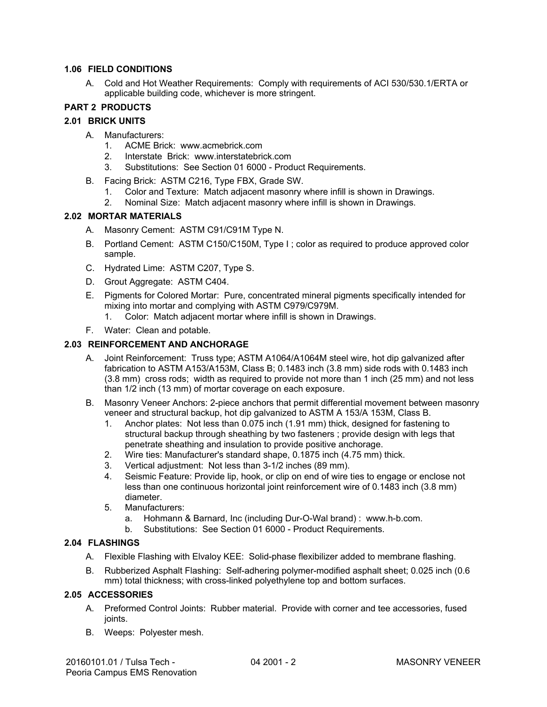#### **1.06 FIELD CONDITIONS 1.06 FIELD CONDITIONS**

A. Cold and Hot Weather Requirements: Comply with requirements of ACI 530/530.1/ERTA or applicable building code, whichever is more stringent. applicable building code, whichever is more stringent.

## **PART 2 PRODUCTS PART 2 PRODUCTS**

## **2.01 BRICK UNITS 2.01 BRICK UNITS**

- A. Manufacturers: A. Manufacturers:
	- 1. ACME Brick: www.acmebrick.com
	- 2. Interstate Brick: www.interstatebrick.com
	- 1. ACME Brick: www.acmebrick.com<br>2. Interstate Brick: www.interstatebrick.com<br>3. Substitutions: See Section 01 6000 Product Requirements.
- B. Facing Brick: ASTM C216, Type FBX, Grade SW. B. Facing Brick: ASTM C216, Type FBX, Grade SW.
	- 1. Color and Texture: Match adjacent masonry where infill is shown in Drawings. 1. Color and Texture: Match adjacent masonry where infill is shown in Drawings.
	- 2. Nominal Size: Match adjacent masonry where infill is shown in Drawings. 2. Nominal Size: Match adjacent masonry where infill is shown in Drawings.

## **2.02 MORTAR MATERIALS 2.02 MORTAR MATERIALS**

- A. Masonry Cement: ASTM C91/C91M Type N. A. Masonry Cement: ASTM C91/C91M Type N.
- B. Portland Cement: ASTM C150/C150M, Type <sup>I</sup> ; color as required to produce approved color B. Portland Cement: ASTM C150/C150M, Type I ; color as required to produce approved color sample. sample.
- C. Hydrated Lime: ASTM C207, Type S. C. Hydrated Lime: ASTM C207, Type S.
- D. Grout Aggregate: ASTM C404. D. Grout Aggregate: ASTM C404.
- E. Pigments for Colored Mortar: Pure, concentrated mineral pigments specifically intended for mixing into mortar and complying with ASTM C979/C979M. mixing into mortar and complying with ASTM C979/C979M.
- 1. Color: Match adjacent mortar where infill is shown in Drawings.<br>F. Water: Clean and potable.
- F. Water: Clean and potable.

## **2.03 REINFORCEMENT AND ANCHORAGE 2.03 REINFORCEMENT AND ANCHORAGE**

- A. Joint Reinforcement: Truss type; ASTM A1064/A1064M steel wire, hot dip galvanized after A. Joint Reinforcement: Truss type; ASTM A1064/A1064M steel wire, hot dip galvanized after fabrication to ASTM A153/A153M, Class B; 0.1483 inch (3.8 mm) side rods with 0.1483 inch (3.8 mm) cross rods; width as required to provide not more than <sup>1</sup> inch (25 mm) and not less than 1/2 inch (13 mm) of mortar coverage on each exposure. fabrication to ASTM A153/A153M, Class B; 0.1483 inch (3.8 mm) side rods with 0.1483 inch<br>(3.8 mm) cross rods; width as required to provide not more than 1 inch (25 mm) and not less<br>than 1/2 inch (13 mm) of mortar coverag
- B. Masonry Veneer Anchors: 2-piece anchors that permit differential movement between masonry B. Masonry Veneer Anchors: 2-piece anchors that permit differential movement between masonry veneer and structural backup, hot dip galvanized to ASTM A 153/A 153M, Class B.
	- 1. Anchor plates: Not less than 0.075 inch (1.91 mm) thick, designed for fastening to 1. Anchor plates: Not less than 0.075 inch (1.91 mm) thick, designed for fastening to structural backup through sheathing by two fasteners ; provide design with legs that<br>penetrate sheathing and insulation to provide positive anchorage. penetrate sheathing and insulation to provide positive anchorage.
	- 2. Wire ties: Manufacturer's standard shape, 0.1875 inch (4.75 mm) thick. 2. Wire ties: Manufacturer's standard shape, 0.1875 inch (4.75 mm) thick.
	- 3. Vertical adjustment: Not less than 3-1/2 inches (89 mm). 3. Vertical adjustment: Not less than 3-1/2 inches (89 mm).
	- 4. Seismic Feature: Provide lip, hook, or clip on end of wire ties to engage or enclose not 4. Seismic Feature: Provide lip, hook, or clip on end of wire ties to engage or enclose not less than one continuous horizontal joint reinforcement wire of 0.1483 inch (3.8 mm) diameter. diameter.
	- 5. Manufacturers: 5. Manufacturers:
		- a. Hohmann & Barnard, Inc (including Dur-O-Wal brand) : www.h-b.com.
		- a. Hohmann & Barnard, Inc (including Dur-O-Wal brand) : www.h-b.com.<br>b. Substitutions: See Section 01 6000 Product Requirements.

## **2.04 FLASHINGS**

- A. Flexible Flashing with Elvaloy KEE: Solid-phase flexibilizer added to membrane flashing.
- B. Rubberized Asphalt Flashing: Self-adhering polymer-modified asphalt sheet; 0.025 inch (0.6 mm) total thickness; with cross-linked polyethylene top and bottom surfaces.

# **2.05 ACCESSORIES**

- A. Preformed Control Joints: Rubber material. Provide with corner and tee accessories, fused joints.
- B. Weeps: Polyester mesh.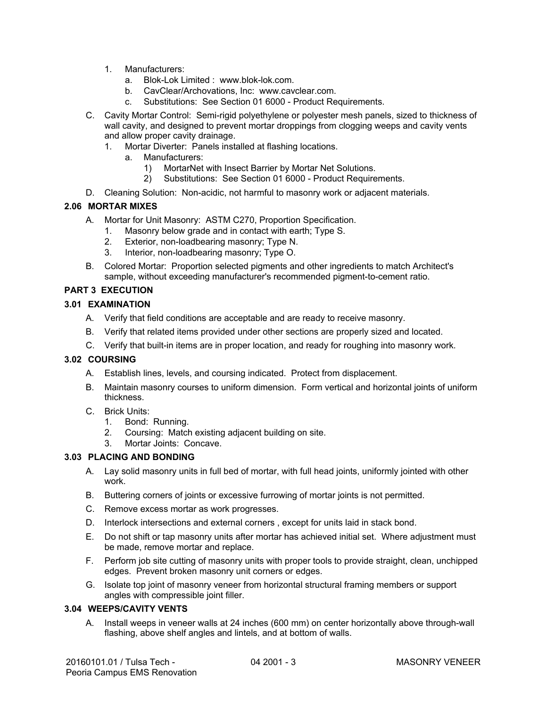- 1. Manufacturers:
	- a. Blok-Lok Limited : www.blok-lok.com.
	- b. CavClear/Archovations, Inc: www.cavclear.com.
	- c. Substitutions: See Section 01 6000 Product Requirements.
- C. Cavity Mortar Control: Semi-rigid polyethylene or polyester mesh panels, sized to thickness of wall cavity, and designed to prevent mortar droppings from clogging weeps and cavity vents and allow proper cavity drainage.
	- 1. Mortar Diverter: Panels installed at flashing locations.
		- a. Manufacturers:
			- 1) MortarNet with Insect Barrier by Mortar Net Solutions.
			- 2) Substitutions: See Section 01 6000 Product Requirements.
- D. Cleaning Solution: Non-acidic, not harmful to masonry work or adjacent materials.

## **2.06 MORTAR MIXES**

- A. Mortar for Unit Masonry: ASTM C270, Proportion Specification.
	- 1. Masonry below grade and in contact with earth; Type S.
	- 2. Exterior, non-loadbearing masonry; Type N.
	- 3. Interior, non-loadbearing masonry; Type O.
- B. Colored Mortar: Proportion selected pigments and other ingredients to match Architect's sample, without exceeding manufacturer's recommended pigment-to-cement ratio.

## **PART 3 EXECUTION**

## **3.01 EXAMINATION**

- A. Verify that field conditions are acceptable and are ready to receive masonry.
- B. Verify that related items provided under other sections are properly sized and located.
- C. Verify that built-in items are in proper location, and ready for roughing into masonry work.

## **3.02 COURSING**

- A. Establish lines, levels, and coursing indicated. Protect from displacement.
- B. Maintain masonry courses to uniform dimension. Form vertical and horizontal joints of uniform thickness.
- C. Brick Units:
	- 1. Bond: Running.
	- 2. Coursing: Match existing adjacent building on site.
	- 3. Mortar Joints: Concave.

## **3.03 PLACING AND BONDING**

- A. Lay solid masonry units in full bed of mortar, with full head joints, uniformly jointed with other work.
- B. Buttering corners of joints or excessive furrowing of mortar joints is not permitted.
- C. Remove excess mortar as work progresses.
- D. Interlock intersections and external corners , except for units laid in stack bond.
- E. Do not shift or tap masonry units after mortar has achieved initial set. Where adjustment must be made, remove mortar and replace.
- F. Perform job site cutting of masonry units with proper tools to provide straight, clean, unchipped edges. Prevent broken masonry unit corners or edges.
- G. Isolate top joint of masonry veneer from horizontal structural framing members or support angles with compressible joint filler.

## **3.04 WEEPS/CAVITY VENTS**

A. Install weeps in veneer walls at 24 inches (600 mm) on center horizontally above through-wall flashing, above shelf angles and lintels, and at bottom of walls.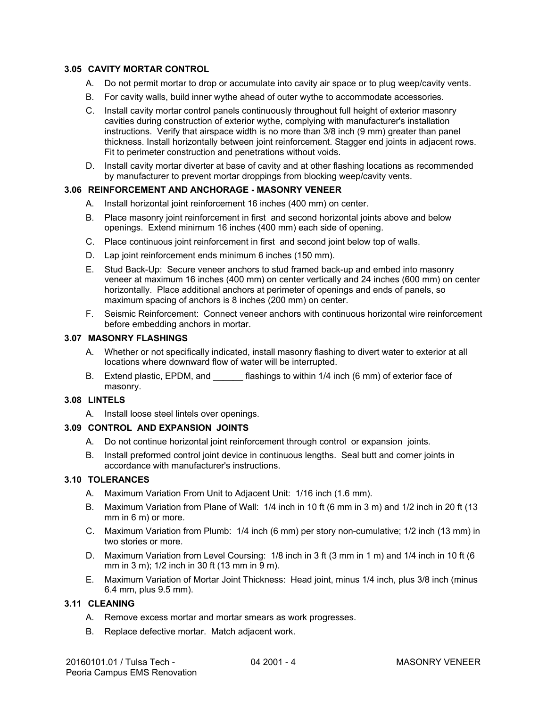## **3.05 CAVITY MORTAR CONTROL**

- A. Do not permit mortar to drop or accumulate into cavity air space or to plug weep/cavity vents.
- B. For cavity walls, build inner wythe ahead of outer wythe to accommodate accessories.
- C. Install cavity mortar control panels continuously throughout full height of exterior masonry cavities during construction of exterior wythe, complying with manufacturer's installation instructions. Verify that airspace width is no more than 3/8 inch (9 mm) greater than panel thickness. Install horizontally between joint reinforcement. Stagger end joints in adjacent rows. Fit to perimeter construction and penetrations without voids.
- D. Install cavity mortar diverter at base of cavity and at other flashing locations as recommended by manufacturer to prevent mortar droppings from blocking weep/cavity vents.

#### **3.06 REINFORCEMENT AND ANCHORAGE - MASONRY VENEER**

- A. Install horizontal joint reinforcement 16 inches (400 mm) on center.
- B. Place masonry joint reinforcement in first and second horizontal joints above and below openings. Extend minimum 16 inches (400 mm) each side of opening.
- C. Place continuous joint reinforcement in first and second joint below top of walls.
- D. Lap joint reinforcement ends minimum 6 inches (150 mm).
- E. Stud Back-Up: Secure veneer anchors to stud framed back-up and embed into masonry veneer at maximum 16 inches (400 mm) on center vertically and 24 inches (600 mm) on center horizontally. Place additional anchors at perimeter of openings and ends of panels, so maximum spacing of anchors is 8 inches (200 mm) on center.
- F. Seismic Reinforcement: Connect veneer anchors with continuous horizontal wire reinforcement before embedding anchors in mortar.

#### **3.07 MASONRY FLASHINGS**

- A. Whether or not specifically indicated, install masonry flashing to divert water to exterior at all locations where downward flow of water will be interrupted.
- B. Extend plastic, EPDM, and flashings to within 1/4 inch (6 mm) of exterior face of masonry.

# **3.08 LINTELS**

A. Install loose steel lintels over openings.

## **3.09 CONTROL AND EXPANSION JOINTS**

- A. Do not continue horizontal joint reinforcement through control or expansion joints.
- B. Install preformed control joint device in continuous lengths. Seal butt and corner joints in accordance with manufacturer's instructions.

#### **3.10 TOLERANCES**

- A. Maximum Variation From Unit to Adjacent Unit: 1/16 inch (1.6 mm).
- B. Maximum Variation from Plane of Wall: 1/4 inch in 10 ft (6 mm in 3 m) and 1/2 inch in 20 ft (13 mm in 6 m) or more.
- C. Maximum Variation from Plumb: 1/4 inch (6 mm) per story non-cumulative; 1/2 inch (13 mm) in two stories or more.
- D. Maximum Variation from Level Coursing: 1/8 inch in 3 ft (3 mm in 1 m) and 1/4 inch in 10 ft (6 mm in 3 m); 1/2 inch in 30 ft (13 mm in 9 m).
- E. Maximum Variation of Mortar Joint Thickness: Head joint, minus 1/4 inch, plus 3/8 inch (minus 6.4 mm, plus 9.5 mm).

## **3.11 CLEANING**

- A. Remove excess mortar and mortar smears as work progresses.
- B. Replace defective mortar. Match adjacent work.